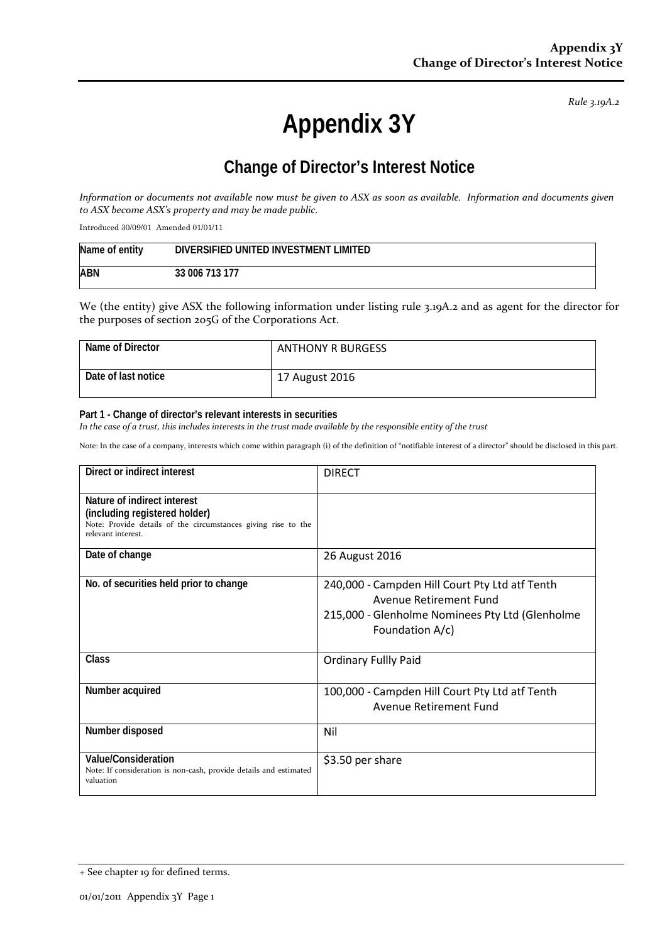*Rule 3.19A.2*

# **Appendix 3Y**

# **Change of Director's Interest Notice**

*Information or documents not available now must be given to ASX as soon as available. Information and documents given to ASX become ASX's property and may be made public.*

Introduced 30/09/01 Amended 01/01/11

| Name of entity | DIVERSIFIED UNITED INVESTMENT LIMITED |
|----------------|---------------------------------------|
| ABN            | 33 006 713 177                        |

We (the entity) give ASX the following information under listing rule 3.19A.2 and as agent for the director for the purposes of section 205G of the Corporations Act.

| Name of Director    | <b>ANTHONY R BURGESS</b> |
|---------------------|--------------------------|
| Date of last notice | 17 August 2016           |

#### **Part 1 - Change of director's relevant interests in securities**

*In the case of a trust, this includes interests in the trust made available by the responsible entity of the trust*

Note: In the case of a company, interests which come within paragraph (i) of the definition of "notifiable interest of a director" should be disclosed in this part.

| Direct or indirect interest                                                                                                                         | <b>DIRECT</b>                                                                                                                                  |
|-----------------------------------------------------------------------------------------------------------------------------------------------------|------------------------------------------------------------------------------------------------------------------------------------------------|
| Nature of indirect interest<br>(including registered holder)<br>Note: Provide details of the circumstances giving rise to the<br>relevant interest. |                                                                                                                                                |
| Date of change                                                                                                                                      | 26 August 2016                                                                                                                                 |
| No. of securities held prior to change                                                                                                              | 240,000 - Campden Hill Court Pty Ltd atf Tenth<br>Avenue Retirement Fund<br>215,000 - Glenholme Nominees Pty Ltd (Glenholme<br>Foundation A/c) |
| <b>Class</b>                                                                                                                                        | <b>Ordinary Fullly Paid</b>                                                                                                                    |
| Number acquired                                                                                                                                     | 100,000 - Campden Hill Court Pty Ltd atf Tenth<br>Avenue Retirement Fund                                                                       |
| Number disposed                                                                                                                                     | Nil                                                                                                                                            |
| Value/Consideration<br>Note: If consideration is non-cash, provide details and estimated<br>valuation                                               | \$3.50 per share                                                                                                                               |

<sup>+</sup> See chapter 19 for defined terms.